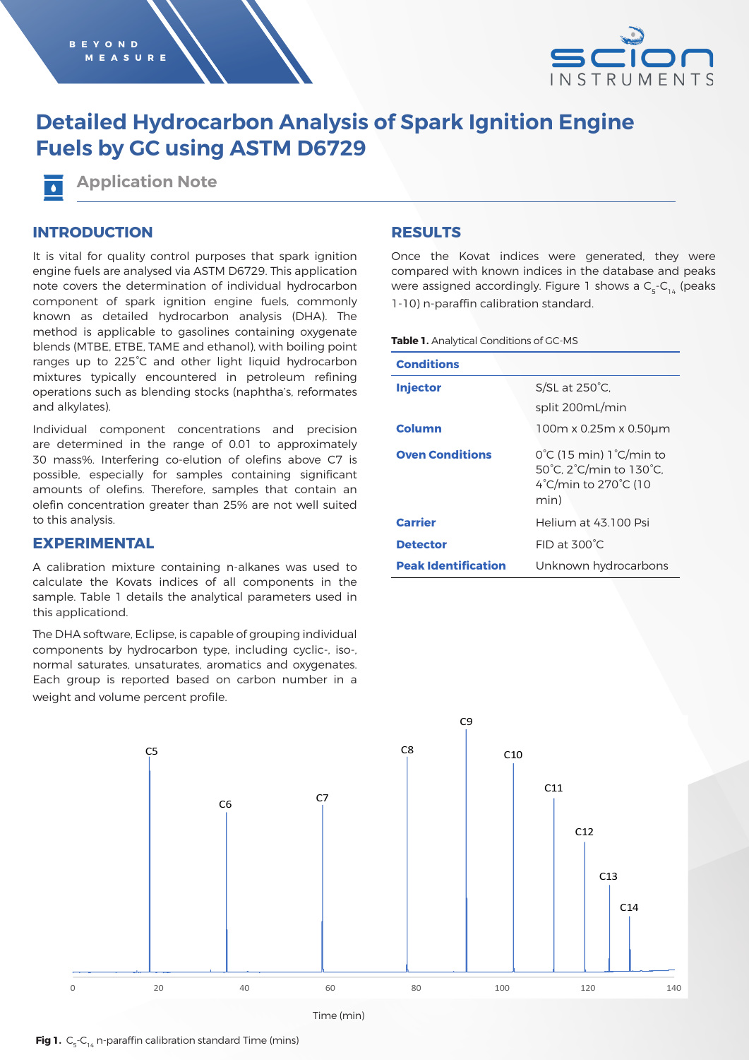

# **Detailed Hydrocarbon Analysis of Spark Ignition Engine Fuels by GC using ASTM D6729**

**Application Note**

### **INTRODUCTION**

It is vital for quality control purposes that spark ignition engine fuels are analysed via ASTM D6729. This application note covers the determination of individual hydrocarbon component of spark ignition engine fuels, commonly known as detailed hydrocarbon analysis (DHA). The method is applicable to gasolines containing oxygenate blends (MTBE, ETBE, TAME and ethanol), with boiling point ranges up to 225°C and other light liquid hydrocarbon mixtures typically encountered in petroleum refining operations such as blending stocks (naphtha's, reformates and alkylates).

Individual component concentrations and precision are determined in the range of 0.01 to approximately 30 mass%. Interfering co-elution of olefins above C7 is possible, especially for samples containing significant amounts of olefins. Therefore, samples that contain an olefin concentration greater than 25% are not well suited to this analysis.

### **EXPERIMENTAL**

A calibration mixture containing n-alkanes was used to calculate the Kovats indices of all components in the sample. Table 1 details the analytical parameters used in this applicationd.

The DHA software, Eclipse, is capable of grouping individual components by hydrocarbon type, including cyclic-, iso-, normal saturates, unsaturates, aromatics and oxygenates. Each group is reported based on carbon number in a weight and volume percent profile.

## **RESULTS**

Once the Kovat indices were generated, they were compared with known indices in the database and peaks were assigned accordingly. Figure 1 shows a  $C_5-C_{14}$  (peaks 1-10) n-paraffin calibration standard.

**Table 1.** Analytical Conditions of GC-MS

| <b>Conditions</b>          |                                                                                                         |  |  |
|----------------------------|---------------------------------------------------------------------------------------------------------|--|--|
| <b>Injector</b>            | $S/SL$ at 250 $^{\circ}$ C.                                                                             |  |  |
|                            | split 200mL/min                                                                                         |  |  |
| Column                     | 100m x 0.25m x 0.50µm                                                                                   |  |  |
| <b>Oven Conditions</b>     | $0^{\circ}$ C (15 min) 1 $^{\circ}$ C/min to<br>50°C, 2°C/min to 130°C.<br>4°C/min to 270°C (10<br>min) |  |  |
| <b>Carrier</b>             | Helium at 43.100 Psi                                                                                    |  |  |
| <b>Detector</b>            | $FID$ at $300^{\circ}$ C.                                                                               |  |  |
| <b>Peak Identification</b> | Unknown hydrocarbons                                                                                    |  |  |



Time (min)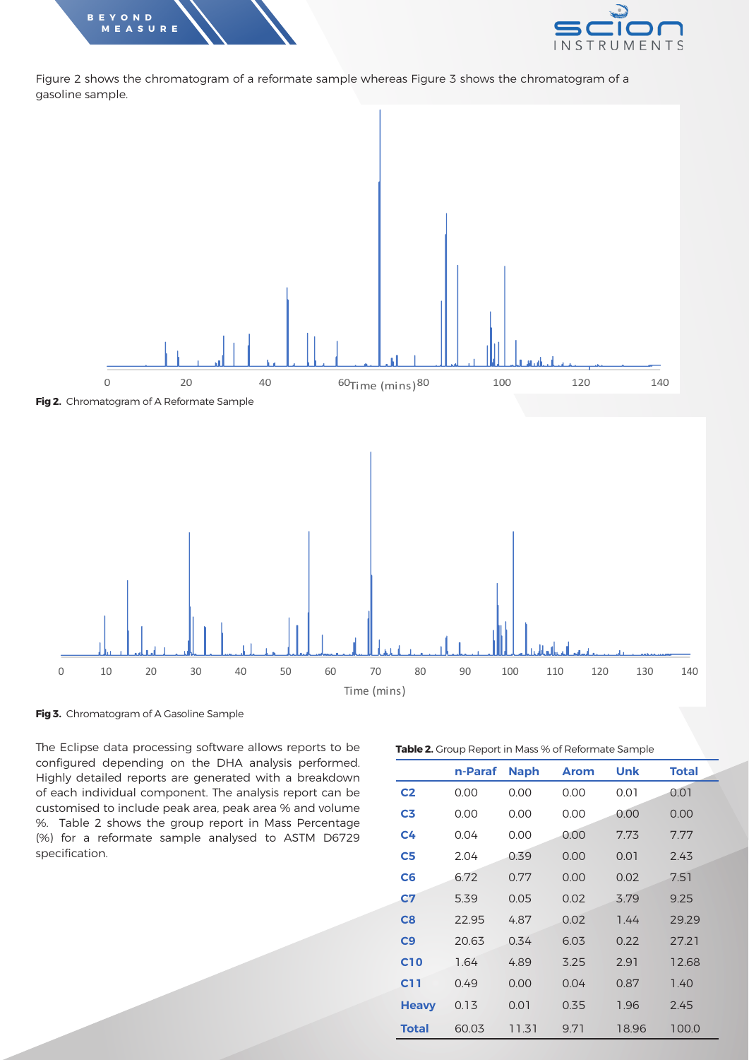



Figure 2 shows the chromatogram of a reformate sample whereas Figure 3 shows the chromatogram of a gasoline sample.





**Fig 3.** Chromatogram of A Gasoline Sample

The Eclipse data processing software allows reports to be configured depending on the DHA analysis performed. Highly detailed reports are generated with a breakdown of each individual component. The analysis report can be customised to include peak area, peak area % and volume %. Table 2 shows the group report in Mass Percentage (%) for a reformate sample analysed to ASTM D6729 specification.

|                | n-Paraf | <b>Naph</b> | <b>Arom</b> | Unk   | <b>Total</b> |
|----------------|---------|-------------|-------------|-------|--------------|
| C <sub>2</sub> | 0.00    | 0.00        | 0.00        | 0.01  | 0.01         |
| C <sub>3</sub> | 0.00    | 0.00        | 0.00        | 0.00  | 0.00         |
| C <sub>4</sub> | 0.04    | 0.00        | 0.00        | 7.73  | 7.77         |
| C <sub>5</sub> | 2.04    | 0.39        | 0.00        | 0.01  | 2.43         |
| C <sub>6</sub> | 6.72    | 0.77        | 0.00        | 0.02  | 7.51         |
| C <sub>7</sub> | 5.39    | 0.05        | 0.02        | 3.79  | 9.25         |
| C8             | 22.95   | 4.87        | 0.02        | 1.44  | 29.29        |
| C9             | 20.63   | 0.34        | 6.03        | 0.22  | 27.21        |
| <b>C10</b>     | 1.64    | 4.89        | 3.25        | 2.91  | 12.68        |
| <b>C11</b>     | 0.49    | 0.00        | 0.04        | 0.87  | 1.40         |
| <b>Heavy</b>   | 0.13    | 0.01        | 0.35        | 1.96  | 2.45         |
| <b>Total</b>   | 60.03   | 11.31       | 9.71        | 18.96 | 100.0        |

**Table 2.** Group Report in Mass % of Reformate Sample